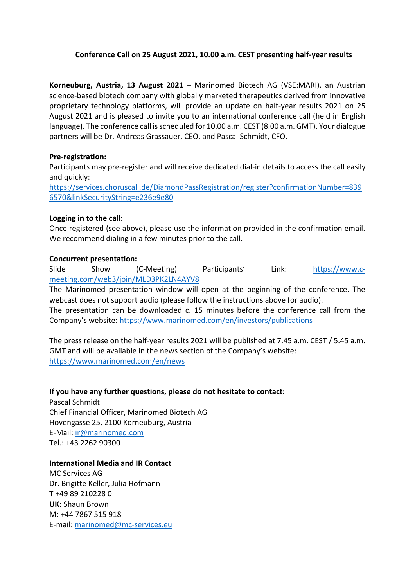# **Conference Call on 25 August 2021, 10.00 a.m. CEST presenting half-year results**

**Korneuburg, Austria, 13 August 2021** – Marinomed Biotech AG (VSE:MARI), an Austrian science-based biotech company with globally marketed therapeutics derived from innovative proprietary technology platforms, will provide an update on half-year results 2021 on 25 August 2021 and is pleased to invite you to an international conference call (held in English language). The conference call is scheduled for 10.00 a.m. CEST (8.00 a.m. GMT). Your dialogue partners will be Dr. Andreas Grassauer, CEO, and Pascal Schmidt, CFO.

## **Pre-registration:**

Participants may pre-register and will receive dedicated dial-in details to access the call easily and quickly:

[https://services.choruscall.de/DiamondPassRegistration/register?confirmationNumber=839](https://services.choruscall.de/DiamondPassRegistration/register?confirmationNumber=8396570&linkSecurityString=e236e9e80) [6570&linkSecurityString=e236e9e80](https://services.choruscall.de/DiamondPassRegistration/register?confirmationNumber=8396570&linkSecurityString=e236e9e80)

## **Logging in to the call:**

Once registered (see above), please use the information provided in the confirmation email. We recommend dialing in a few minutes prior to the call.

# **Concurrent presentation:**

Slide Show (C-Meeting) Participants' Link: [https://www.c](https://www.c-meeting.com/web3/join/MLD3PK2LN4AYV8)[meeting.com/web3/join/MLD3PK2LN4AYV8](https://www.c-meeting.com/web3/join/MLD3PK2LN4AYV8)

The Marinomed presentation window will open at the beginning of the conference. The webcast does not support audio (please follow the instructions above for audio).

The presentation can be downloaded c. 15 minutes before the conference call from the Company's website: <https://www.marinomed.com/en/investors/publications>

The press release on the half-year results 2021 will be published at 7.45 a.m. CEST / 5.45 a.m. GMT and will be available in the news section of the Company's website: <https://www.marinomed.com/en/news>

## **If you have any further questions, please do not hesitate to contact:**

Pascal Schmidt Chief Financial Officer, Marinomed Biotech AG Hovengasse 25, 2100 Korneuburg, Austria E-Mail: [ir@marinomed.com](mailto:ir@marinomed.com) Tel.: +43 2262 90300

## **International Media and IR Contact**

MC Services AG Dr. Brigitte Keller, Julia Hofmann T +49 89 210228 0 **UK:** Shaun Brown M: +44 7867 515 918 E-mail: [marinomed@mc-services.eu](mailto:marinomed@mc-services.eu)